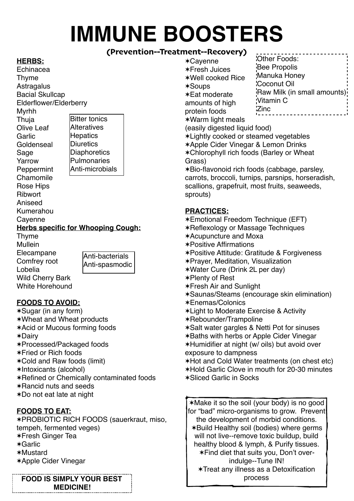# **IMMUNE BOOSTERS**

## **(Prevention--Treatment--Recovery)**

#### **HERBS:**

Echinacea Thyme **Astragalus** Bacial Skullcap Elderflower/Elderberry Myrhh Thuja Olive Leaf Garlic **Goldenseal** Sage Yarrow **Peppermint** Chamomile Rose Hips Ribwort Aniseed Kumerahou Cayenne **Herbs specific for Whooping Cough:** Thyme Mullein Elecampane Comfrey root Lobelia Bitter tonics **Alteratives Hepatics Diuretics Diaphoretics** Pulmonaries Anti-microbials

Anti-bacterials

Wild Cherry Bark White Horehound Anti-spasmodic

## **FOODS TO AVOID:**

✶Sugar (in any form) ✶Wheat and Wheat products ✶Acid or Mucous forming foods ✶Dairy ✶Processed/Packaged foods ✶Fried or Rich foods ✶Cold and Raw foods (limit) ✶Intoxicants (alcohol) ✶Refined or Chemically contaminated foods ✶Rancid nuts and seeds ✶Do not eat late at night

#### **FOODS TO EAT:**

✶PROBIOTIC RICH FOODS (sauerkraut, miso, tempeh, fermented veges) ✶Fresh Ginger Tea ✶Garlic ✶Mustard ✶Apple Cider Vinegar

**FOOD IS SIMPLY YOUR BEST RESOLUTE:** The process **MEDICINE!**

✶Cayenne ✶Fresh Juices ✶Well cooked Rice ✶Soups ✶Eat moderate amounts of high protein foods ✶Warm light meals Other Foods: Bee Propolis Manuka Honey Coconut Oil <sup>'</sup>Raw Milk (in small amounts)<sup>'</sup> Vitamin C Zinc

(easily digested liquid food)

✶Lightly cooked or steamed vegetables ✶Apple Cider Vinegar & Lemon Drinks ✶Chlorophyll rich foods (Barley or Wheat Grass)

✶Bio-flavonoid rich foods (cabbage, parsley, carrots, broccoli, turnips, parsnips, horseradish, scallions, grapefruit, most fruits, seaweeds, sprouts)

#### **PRACTICES:**

✶Emotional Freedom Technique (EFT) ✶Reflexology or Massage Techniques ✶Acupuncture and Moxa ✶Positive Affirmations ✶Positive Attitude: Gratitude & Forgiveness ✶Prayer, Meditation, Visualization ✶Water Cure (Drink 2L per day) ✶Plenty of Rest ✶Fresh Air and Sunlight ✶Saunas/Steams (encourage skin elimination) ✶Enemas/Colonics ✶Light to Moderate Exercise & Activity ✶Rebounder/Trampoline ✶Salt water gargles & Netti Pot for sinuses ✶Baths with herbs or Apple Cider Vinegar ✶Humidifier at night (w/ oils) but avoid over exposure to dampness ✶Hot and Cold Water treatments (on chest etc) ✶Hold Garlic Clove in mouth for 20-30 minutes ✶Sliced Garlic in Socks ✶Make it so the soil (your body) is no good for "bad" micro-organisms to grow. Prevent

the development of morbid conditions. ✶Build Healthy soil (bodies) where germs will not live--remove toxic buildup, build healthy blood & lymph, & Purify tissues. ✶Find diet that suits you, Don't overindulge--Tune IN! ✶Treat any illness as a Detoxification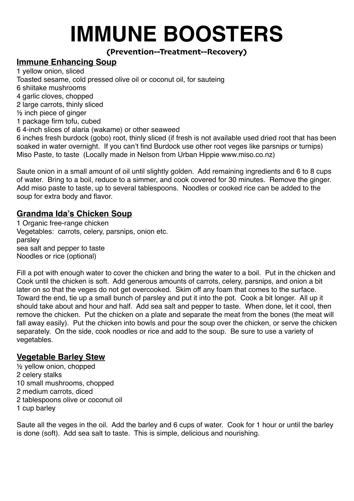# **IMMUNE BOOSTERS**

## **(Prevention--Treatment--Recovery)**

# **Immune Enhancing Soup**

1 yellow onion, sliced Toasted sesame, cold pressed olive oil or coconut oil, for sauteing 6 shiitake mushrooms 4 garlic cloves, chopped 2 large carrots, thinly sliced ½ inch piece of ginger 1 package firm tofu, cubed 6 4-inch slices of alaria (wakame) or other seaweed 6 inches fresh burdock (gobo) root, thinly sliced (if fresh is not available used dried root that has been soaked in water overnight. If you can't find Burdock use other root veges like parsnips or turnips)

Miso Paste, to taste (Locally made in Nelson from Urban Hippie [www.miso.co.nz\)](http://www.miso.co.nz) Saute onion in a small amount of oil until slightly golden. Add remaining ingredients and 6 to 8 cups

of water. Bring to a boil, reduce to a simmer, and cook covered for 30 minutes. Remove the ginger. Add miso paste to taste, up to several tablespoons. Noodles or cooked rice can be added to the soup for extra body and flavor.

# **Grandma Ida's Chicken Soup**

1 Organic free-range chicken Vegetables: carrots, celery, parsnips, onion etc. parsley sea salt and pepper to taste Noodles or rice (optional)

Fill a pot with enough water to cover the chicken and bring the water to a boil. Put in the chicken and Cook until the chicken is soft. Add generous amounts of carrots, celery, parsnips, and onion a bit later on so that the veges do not get overcooked. Skim off any foam that comes to the surface. Toward the end, tie up a small bunch of parsley and put it into the pot. Cook a bit longer. All up it should take about and hour and half. Add sea salt and pepper to taste. When done, let it cool, then remove the chicken. Put the chicken on a plate and separate the meat from the bones (the meat will fall away easily). Put the chicken into bowls and pour the soup over the chicken, or serve the chicken separately. On the side, cook noodles or rice and add to the soup. Be sure to use a variety of vegetables.

## **Vegetable Barley Stew**

½ yellow onion, chopped 2 celery stalks 10 small mushrooms, chopped 2 medium carrots, diced 2 tablespoons olive or coconut oil 1 cup barley

Saute all the veges in the oil. Add the barley and 6 cups of water. Cook for 1 hour or until the barley is done (soft). Add sea salt to taste. This is simple, delicious and nourishing.